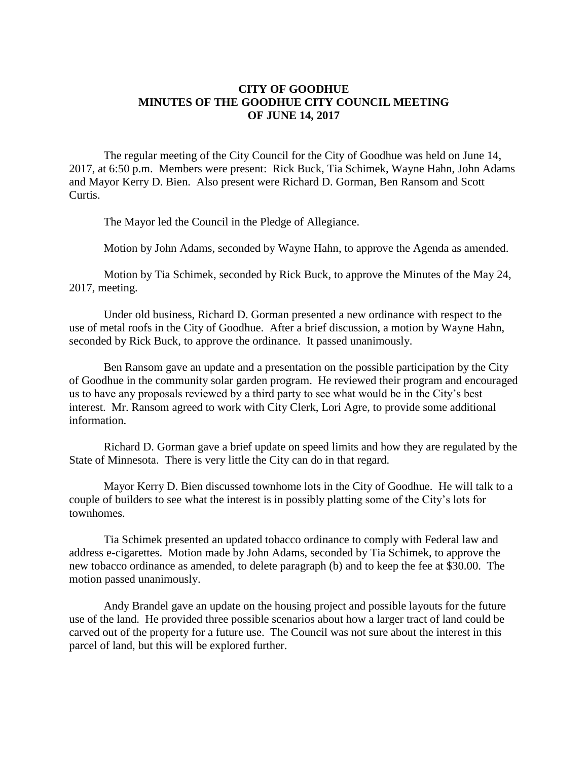## **CITY OF GOODHUE MINUTES OF THE GOODHUE CITY COUNCIL MEETING OF JUNE 14, 2017**

The regular meeting of the City Council for the City of Goodhue was held on June 14, 2017, at 6:50 p.m. Members were present: Rick Buck, Tia Schimek, Wayne Hahn, John Adams and Mayor Kerry D. Bien. Also present were Richard D. Gorman, Ben Ransom and Scott Curtis.

The Mayor led the Council in the Pledge of Allegiance.

Motion by John Adams, seconded by Wayne Hahn, to approve the Agenda as amended.

Motion by Tia Schimek, seconded by Rick Buck, to approve the Minutes of the May 24, 2017, meeting.

Under old business, Richard D. Gorman presented a new ordinance with respect to the use of metal roofs in the City of Goodhue. After a brief discussion, a motion by Wayne Hahn, seconded by Rick Buck, to approve the ordinance. It passed unanimously.

Ben Ransom gave an update and a presentation on the possible participation by the City of Goodhue in the community solar garden program. He reviewed their program and encouraged us to have any proposals reviewed by a third party to see what would be in the City's best interest. Mr. Ransom agreed to work with City Clerk, Lori Agre, to provide some additional information.

Richard D. Gorman gave a brief update on speed limits and how they are regulated by the State of Minnesota. There is very little the City can do in that regard.

Mayor Kerry D. Bien discussed townhome lots in the City of Goodhue. He will talk to a couple of builders to see what the interest is in possibly platting some of the City's lots for townhomes.

Tia Schimek presented an updated tobacco ordinance to comply with Federal law and address e-cigarettes. Motion made by John Adams, seconded by Tia Schimek, to approve the new tobacco ordinance as amended, to delete paragraph (b) and to keep the fee at \$30.00. The motion passed unanimously.

Andy Brandel gave an update on the housing project and possible layouts for the future use of the land. He provided three possible scenarios about how a larger tract of land could be carved out of the property for a future use. The Council was not sure about the interest in this parcel of land, but this will be explored further.